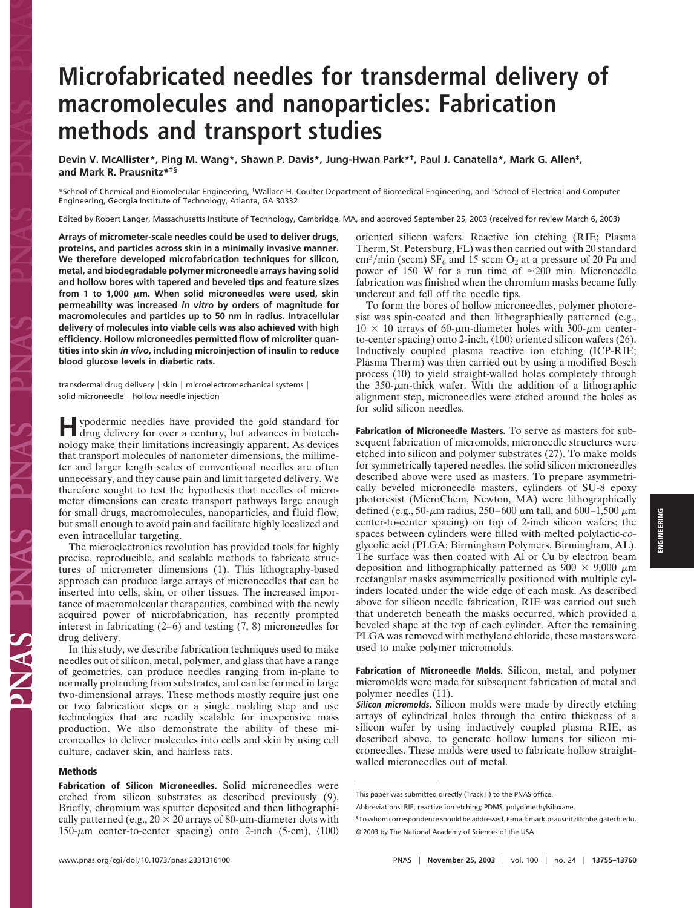# **Microfabricated needles for transdermal delivery of macromolecules and nanoparticles: Fabrication methods and transport studies**

**Devin V. McAllister\*, Ping M. Wang\*, Shawn P. Davis\*, Jung-Hwan Park\*†, Paul J. Canatella\*, Mark G. Allen‡, and Mark R. Prausnitz\*†§**

\*School of Chemical and Biomolecular Engineering, †Wallace H. Coulter Department of Biomedical Engineering, and ‡School of Electrical and Computer Engineering, Georgia Institute of Technology, Atlanta, GA 30332

Edited by Robert Langer, Massachusetts Institute of Technology, Cambridge, MA, and approved September 25, 2003 (received for review March 6, 2003)

**Arrays of micrometer-scale needles could be used to deliver drugs, proteins, and particles across skin in a minimally invasive manner. We therefore developed microfabrication techniques for silicon, metal, and biodegradable polymer microneedle arrays having solid and hollow bores with tapered and beveled tips and feature sizes** from 1 to 1,000  $\mu$ m. When solid microneedles were used, skin **permeability was increased** *in vitro* **by orders of magnitude for macromolecules and particles up to 50 nm in radius. Intracellular delivery of molecules into viable cells was also achieved with high efficiency. Hollow microneedles permitted flow of microliter quantities into skin** *in vivo***, including microinjection of insulin to reduce blood glucose levels in diabetic rats.**

transdermal drug delivery | skin | microelectromechanical systems | solid microneedle | hollow needle injection

**H**ypodermic needles have provided the gold standard for drug delivery for over a century, but advances in biotechnology make their limitations increasingly apparent. As devices that transport molecules of nanometer dimensions, the millimeter and larger length scales of conventional needles are often unnecessary, and they cause pain and limit targeted delivery. We therefore sought to test the hypothesis that needles of micrometer dimensions can create transport pathways large enough for small drugs, macromolecules, nanoparticles, and fluid flow, but small enough to avoid pain and facilitate highly localized and even intracellular targeting.

The microelectronics revolution has provided tools for highly precise, reproducible, and scalable methods to fabricate structures of micrometer dimensions (1). This lithography-based approach can produce large arrays of microneedles that can be inserted into cells, skin, or other tissues. The increased importance of macromolecular therapeutics, combined with the newly acquired power of microfabrication, has recently prompted interest in fabricating (2–6) and testing (7, 8) microneedles for drug delivery.

In this study, we describe fabrication techniques used to make needles out of silicon, metal, polymer, and glass that have a range of geometries, can produce needles ranging from in-plane to normally protruding from substrates, and can be formed in large two-dimensional arrays. These methods mostly require just one or two fabrication steps or a single molding step and use technologies that are readily scalable for inexpensive mass production. We also demonstrate the ability of these microneedles to deliver molecules into cells and skin by using cell culture, cadaver skin, and hairless rats.

## **Methods**

**Fabrication of Silicon Microneedles.** Solid microneedles were etched from silicon substrates as described previously (9). Briefly, chromium was sputter deposited and then lithographically patterned (e.g.,  $20 \times 20$  arrays of 80- $\mu$ m-diameter dots with 150- $\mu$ m center-to-center spacing) onto 2-inch (5-cm),  $\langle 100 \rangle$ 

oriented silicon wafers. Reactive ion etching (RIE; Plasma Therm, St. Petersburg, FL) was then carried out with 20 standard  $\text{cm}^3/\text{min}$  (sccm) SF<sub>6</sub> and 15 sccm O<sub>2</sub> at a pressure of 20 Pa and power of 150 W for a run time of  $\approx 200$  min. Microneedle fabrication was finished when the chromium masks became fully undercut and fell off the needle tips.

To form the bores of hollow microneedles, polymer photoresist was spin-coated and then lithographically patterned (e.g.,  $10 \times 10$  arrays of 60- $\mu$ m-diameter holes with 300- $\mu$ m centerto-center spacing) onto 2-inch,  $\langle 100 \rangle$  oriented silicon wafers (26). Inductively coupled plasma reactive ion etching (ICP-RIE; Plasma Therm) was then carried out by using a modified Bosch process (10) to yield straight-walled holes completely through the  $350$ - $\mu$ m-thick wafer. With the addition of a lithographic alignment step, microneedles were etched around the holes as for solid silicon needles.

**Fabrication of Microneedle Masters.** To serve as masters for subsequent fabrication of micromolds, microneedle structures were etched into silicon and polymer substrates (27). To make molds for symmetrically tapered needles, the solid silicon microneedles described above were used as masters. To prepare asymmetrically beveled microneedle masters, cylinders of SU-8 epoxy photoresist (MicroChem, Newton, MA) were lithographically defined (e.g., 50- $\mu$ m radius, 250–600  $\mu$ m tall, and 600–1,500  $\mu$ m center-to-center spacing) on top of 2-inch silicon wafers; the spaces between cylinders were filled with melted polylactic-*co*glycolic acid (PLGA; Birmingham Polymers, Birmingham, AL). The surface was then coated with Al or Cu by electron beam deposition and lithographically patterned as  $900 \times 9{,}000 \mu m$ rectangular masks asymmetrically positioned with multiple cylinders located under the wide edge of each mask. As described above for silicon needle fabrication, RIE was carried out such that underetch beneath the masks occurred, which provided a beveled shape at the top of each cylinder. After the remaining PLGA was removed with methylene chloride, these masters were used to make polymer micromolds.

**Fabrication of Microneedle Molds.** Silicon, metal, and polymer micromolds were made for subsequent fabrication of metal and polymer needles (11).

**Silicon micromolds.** Silicon molds were made by directly etching arrays of cylindrical holes through the entire thickness of a silicon wafer by using inductively coupled plasma RIE, as described above, to generate hollow lumens for silicon microneedles. These molds were used to fabricate hollow straightwalled microneedles out of metal.

This paper was submitted directly (Track II) to the PNAS office.

Abbreviations: RIE, reactive ion etching; PDMS, polydimethylsiloxane.

<sup>§</sup>To whom correspondence should be addressed. E-mail: mark.prausnitz@chbe.gatech.edu. © 2003 by The National Academy of Sciences of the USA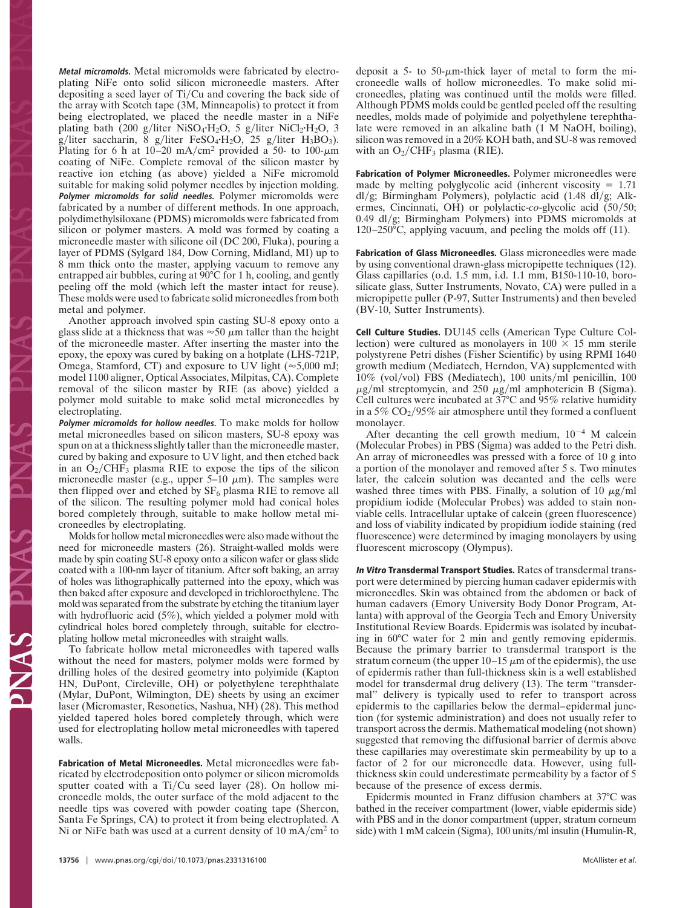**Metal micromolds.** Metal micromolds were fabricated by electroplating NiFe onto solid silicon microneedle masters. After depositing a seed layer of Ti/Cu and covering the back side of the array with Scotch tape (3M, Minneapolis) to protect it from being electroplated, we placed the needle master in a NiFe plating bath (200 g/liter NiSO<sub>4</sub>·H<sub>2</sub>O, 5 g/liter NiCl<sub>2</sub>·H<sub>2</sub>O, 3  $g/l$ iter saccharin, 8  $g/l$ iter FeSO<sub>4</sub>·H<sub>2</sub>O, 25  $g/l$ iter H<sub>3</sub>BO<sub>3</sub>). Plating for 6 h at  $10-20$  mA/cm<sup>2</sup> provided a 50- to 100- $\mu$ m coating of NiFe. Complete removal of the silicon master by reactive ion etching (as above) yielded a NiFe micromold suitable for making solid polymer needles by injection molding. **Polymer micromolds for solid needles.** Polymer micromolds were fabricated by a number of different methods. In one approach, polydimethylsiloxane (PDMS) micromolds were fabricated from silicon or polymer masters. A mold was formed by coating a microneedle master with silicone oil (DC 200, Fluka), pouring a layer of PDMS (Sylgard 184, Dow Corning, Midland, MI) up to 8 mm thick onto the master, applying vacuum to remove any entrapped air bubbles, curing at 90°C for 1 h, cooling, and gently peeling off the mold (which left the master intact for reuse). These molds were used to fabricate solid microneedles from both metal and polymer.

Another approach involved spin casting SU-8 epoxy onto a glass slide at a thickness that was  $\approx 50 \mu$ m taller than the height of the microneedle master. After inserting the master into the epoxy, the epoxy was cured by baking on a hotplate (LHS-721P, Omega, Stamford, CT) and exposure to UV light ( $\approx$ 5,000 mJ; model 1100 aligner, Optical Associates, Milpitas, CA). Complete removal of the silicon master by RIE (as above) yielded a polymer mold suitable to make solid metal microneedles by electroplating.

**Polymer micromolds for hollow needles.** To make molds for hollow metal microneedles based on silicon masters, SU-8 epoxy was spun on at a thickness slightly taller than the microneedle master, cured by baking and exposure to UV light, and then etched back in an  $O_2/CHF_3$  plasma RIE to expose the tips of the silicon microneedle master (e.g., upper  $5-10 \mu m$ ). The samples were then flipped over and etched by  $SF_6$  plasma RIE to remove all of the silicon. The resulting polymer mold had conical holes bored completely through, suitable to make hollow metal microneedles by electroplating.

Molds for hollow metal microneedles were also made without the need for microneedle masters (26). Straight-walled molds were made by spin coating SU-8 epoxy onto a silicon wafer or glass slide coated with a 100-nm layer of titanium. After soft baking, an array of holes was lithographically patterned into the epoxy, which was then baked after exposure and developed in trichloroethylene. The mold was separated from the substrate by etching the titanium layer with hydrofluoric acid (5%), which yielded a polymer mold with cylindrical holes bored completely through, suitable for electroplating hollow metal microneedles with straight walls.

To fabricate hollow metal microneedles with tapered walls without the need for masters, polymer molds were formed by drilling holes of the desired geometry into polyimide (Kapton HN, DuPont, Circleville, OH) or polyethylene terephthalate (Mylar, DuPont, Wilmington, DE) sheets by using an excimer laser (Micromaster, Resonetics, Nashua, NH) (28). This method yielded tapered holes bored completely through, which were used for electroplating hollow metal microneedles with tapered walls.

**Fabrication of Metal Microneedles.** Metal microneedles were fabricated by electrodeposition onto polymer or silicon micromolds sputter coated with a Ti/Cu seed layer (28). On hollow microneedle molds, the outer surface of the mold adjacent to the needle tips was covered with powder coating tape (Shercon, Santa Fe Springs, CA) to protect it from being electroplated. A Ni or NiFe bath was used at a current density of  $10 \text{ mA/cm}^2$  to

deposit a 5- to 50- $\mu$ m-thick layer of metal to form the microneedle walls of hollow microneedles. To make solid microneedles, plating was continued until the molds were filled. Although PDMS molds could be gentled peeled off the resulting needles, molds made of polyimide and polyethylene terephthalate were removed in an alkaline bath (1 M NaOH, boiling), silicon was removed in a 20% KOH bath, and SU-8 was removed with an  $O_2/CHF_3$  plasma (RIE).

**Fabrication of Polymer Microneedles.** Polymer microneedles were made by melting polyglycolic acid (inherent viscosity  $= 1.71$ dl/g; Birmingham Polymers), polylactic acid (1.48 dl/g; Alkermes, Cincinnati, OH) or polylactic-co-glycolic acid (50/50; 0.49 dl/g; Birmingham Polymers) into PDMS micromolds at 120–250°C, applying vacuum, and peeling the molds off (11).

**Fabrication of Glass Microneedles.** Glass microneedles were made by using conventional drawn-glass micropipette techniques (12). Glass capillaries (o.d. 1.5 mm, i.d. 1.1 mm, B150-110-10, borosilicate glass, Sutter Instruments, Novato, CA) were pulled in a micropipette puller (P-97, Sutter Instruments) and then beveled (BV-10, Sutter Instruments).

**Cell Culture Studies.** DU145 cells (American Type Culture Collection) were cultured as monolayers in  $100 \times 15$  mm sterile polystyrene Petri dishes (Fisher Scientific) by using RPMI 1640 growth medium (Mediatech, Herndon, VA) supplemented with 10% (vol/vol) FBS (Mediatech), 100 units/ml penicillin, 100  $\mu$ g/ml streptomycin, and 250  $\mu$ g/ml amphotericin B (Sigma). Cell cultures were incubated at 37°C and 95% relative humidity in a 5%  $CO_2/95\%$  air atmosphere until they formed a confluent monolayer.

After decanting the cell growth medium,  $10^{-4}$  M calcein (Molecular Probes) in PBS (Sigma) was added to the Petri dish. An array of microneedles was pressed with a force of 10 g into a portion of the monolayer and removed after 5 s. Two minutes later, the calcein solution was decanted and the cells were washed three times with PBS. Finally, a solution of 10  $\mu$ g/ml propidium iodide (Molecular Probes) was added to stain nonviable cells. Intracellular uptake of calcein (green fluorescence) and loss of viability indicated by propidium iodide staining (red fluorescence) were determined by imaging monolayers by using fluorescent microscopy (Olympus).

**In Vitro Transdermal Transport Studies.** Rates of transdermal transport were determined by piercing human cadaver epidermis with microneedles. Skin was obtained from the abdomen or back of human cadavers (Emory University Body Donor Program, Atlanta) with approval of the Georgia Tech and Emory University Institutional Review Boards. Epidermis was isolated by incubating in 60°C water for 2 min and gently removing epidermis. Because the primary barrier to transdermal transport is the stratum corneum (the upper  $10-15 \mu m$  of the epidermis), the use of epidermis rather than full-thickness skin is a well established model for transdermal drug delivery (13). The term ''transdermal'' delivery is typically used to refer to transport across epidermis to the capillaries below the dermal–epidermal junction (for systemic administration) and does not usually refer to transport across the dermis. Mathematical modeling (not shown) suggested that removing the diffusional barrier of dermis above these capillaries may overestimate skin permeability by up to a factor of 2 for our microneedle data. However, using fullthickness skin could underestimate permeability by a factor of 5 because of the presence of excess dermis.

Epidermis mounted in Franz diffusion chambers at 37°C was bathed in the receiver compartment (lower, viable epidermis side) with PBS and in the donor compartment (upper, stratum corneum side) with 1 mM calcein (Sigma), 100 units/ml insulin (Humulin-R,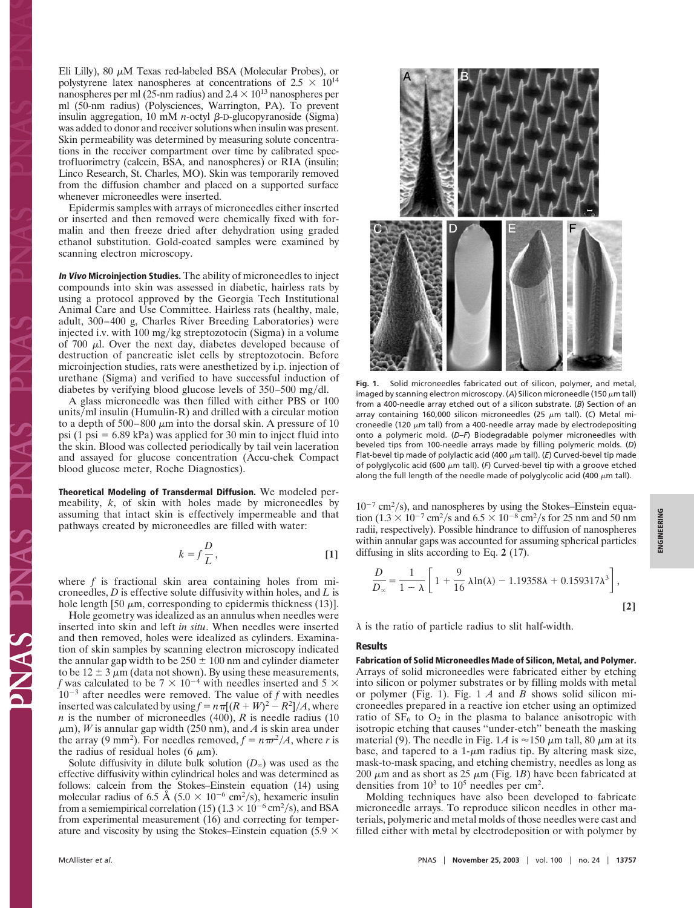Eli Lilly), 80  $\mu$ M Texas red-labeled BSA (Molecular Probes), or polystyrene latex nanospheres at concentrations of  $2.5 \times 10^{14}$ nanospheres per ml (25-nm radius) and  $2.4 \times 10^{13}$  nanospheres per ml (50-nm radius) (Polysciences, Warrington, PA). To prevent insulin aggregation,  $10 \text{ mM } n$ -octyl  $\beta$ -D-glucopyranoside (Sigma) was added to donor and receiver solutions when insulin was present. Skin permeability was determined by measuring solute concentrations in the receiver compartment over time by calibrated spectrofluorimetry (calcein, BSA, and nanospheres) or RIA (insulin; Linco Research, St. Charles, MO). Skin was temporarily removed from the diffusion chamber and placed on a supported surface whenever microneedles were inserted.

Epidermis samples with arrays of microneedles either inserted or inserted and then removed were chemically fixed with formalin and then freeze dried after dehydration using graded ethanol substitution. Gold-coated samples were examined by scanning electron microscopy.

**In Vivo Microinjection Studies.** The ability of microneedles to inject compounds into skin was assessed in diabetic, hairless rats by using a protocol approved by the Georgia Tech Institutional Animal Care and Use Committee. Hairless rats (healthy, male, adult, 300–400 g, Charles River Breeding Laboratories) were injected i.v. with 100 mg/kg streptozotocin (Sigma) in a volume of 700  $\mu$ l. Over the next day, diabetes developed because of destruction of pancreatic islet cells by streptozotocin. Before microinjection studies, rats were anesthetized by i.p. injection of urethane (Sigma) and verified to have successful induction of diabetes by verifying blood glucose levels of  $350-500$  mg/dl.

A glass microneedle was then filled with either PBS or 100 units/ml insulin (Humulin-R) and drilled with a circular motion to a depth of  $500-800 \mu m$  into the dorsal skin. A pressure of 10 psi (1 psi  $= 6.89$  kPa) was applied for 30 min to inject fluid into the skin. Blood was collected periodically by tail vein laceration and assayed for glucose concentration (Accu-chek Compact blood glucose meter, Roche Diagnostics).

**Theoretical Modeling of Transdermal Diffusion.** We modeled permeability, *k*, of skin with holes made by microneedles by assuming that intact skin is effectively impermeable and that pathways created by microneedles are filled with water:

$$
k = f\frac{D}{L},\tag{1}
$$

where *f* is fractional skin area containing holes from microneedles, *D* is effective solute diffusivity within holes, and *L* is hole length [50  $\mu$ m, corresponding to epidermis thickness (13)].

Hole geometry was idealized as an annulus when needles were inserted into skin and left *in situ*. When needles were inserted and then removed, holes were idealized as cylinders. Examination of skin samples by scanning electron microscopy indicated the annular gap width to be  $250 \pm 100$  nm and cylinder diameter to be  $12 \pm 3 \mu m$  (data not shown). By using these measurements, *f* was calculated to be 7  $\times$  10<sup>-4</sup> with needles inserted and 5  $\times$  $10^{-3}$  after needles were removed. The value of *f* with needles inserted was calculated by using  $f = n \pi [(R+W)^2 - R^2]/A$ , where *n* is the number of microneedles (400), *R* is needle radius (10  $\mu$ m), *W* is annular gap width (250 nm), and *A* is skin area under the array (9 mm<sup>2</sup>). For needles removed,  $f = n \pi r^2/A$ , where *r* is the radius of residual holes (6  $\mu$ m).

Solute diffusivity in dilute bulk solution  $(D_\infty)$  was used as the effective diffusivity within cylindrical holes and was determined as follows: calcein from the Stokes–Einstein equation (14) using molecular radius of 6.5 Å (5.0  $\times$  10<sup>-6</sup> cm<sup>2</sup>/s), hexameric insulin from a semiempirical correlation (15)  $(1.3 \times 10^{-6} \text{ cm}^2/\text{s})$ , and BSA from experimental measurement (16) and correcting for temperature and viscosity by using the Stokes–Einstein equation (5.9  $\times$ 



**Fig. 1.** Solid microneedles fabricated out of silicon, polymer, and metal, imaged by scanning electron microscopy. (A) Silicon microneedle (150  $\mu$ m tall) from a 400-needle array etched out of a silicon substrate. (*B*) Section of an array containing 160,000 silicon microneedles (25  $\mu$ m tall). (C) Metal microneedle (120  $\mu$ m tall) from a 400-needle array made by electrodepositing onto a polymeric mold. (*D–F*) Biodegradable polymer microneedles with beveled tips from 100-needle arrays made by filling polymeric molds. (*D*) Flat-bevel tip made of polylactic acid (400  $\mu$ m tall). (*E*) Curved-bevel tip made of polyglycolic acid (600  $\mu$ m tall). (F) Curved-bevel tip with a groove etched along the full length of the needle made of polyglycolic acid (400  $\mu$ m tall).

 $10^{-7}$  cm<sup>2</sup>/s), and nanospheres by using the Stokes–Einstein equation  $(1.3 \times 10^{-7} \text{ cm}^2/\text{s}$  and  $6.5 \times 10^{-8} \text{ cm}^2/\text{s}$  for 25 nm and 50 nm radii, respectively). Possible hindrance to diffusion of nanospheres within annular gaps was accounted for assuming spherical particles diffusing in slits according to Eq. **2** (17).

$$
\frac{D}{D_{\infty}} = \frac{1}{1 - \lambda} \left[ 1 + \frac{9}{16} \lambda \ln(\lambda) - 1.19358\lambda + 0.159317\lambda^3 \right],
$$
\n[2]

 $\lambda$  is the ratio of particle radius to slit half-width.

#### **Results**

**Fabrication of Solid Microneedles Made of Silicon, Metal, and Polymer.** Arrays of solid microneedles were fabricated either by etching into silicon or polymer substrates or by filling molds with metal or polymer (Fig. 1). Fig. 1 *A* and *B* shows solid silicon microneedles prepared in a reactive ion etcher using an optimized ratio of  $SF<sub>6</sub>$  to  $O<sub>2</sub>$  in the plasma to balance anisotropic with isotropic etching that causes ''under-etch'' beneath the masking material (9). The needle in Fig. 1A is  $\approx$  150  $\mu$ m tall, 80  $\mu$ m at its base, and tapered to a  $1-\mu m$  radius tip. By altering mask size, mask-to-mask spacing, and etching chemistry, needles as long as 200  $\mu$ m and as short as 25  $\mu$ m (Fig. 1*B*) have been fabricated at densities from  $10^3$  to  $10^5$  needles per cm<sup>2</sup>.

Molding techniques have also been developed to fabricate microneedle arrays. To reproduce silicon needles in other materials, polymeric and metal molds of those needles were cast and filled either with metal by electrodeposition or with polymer by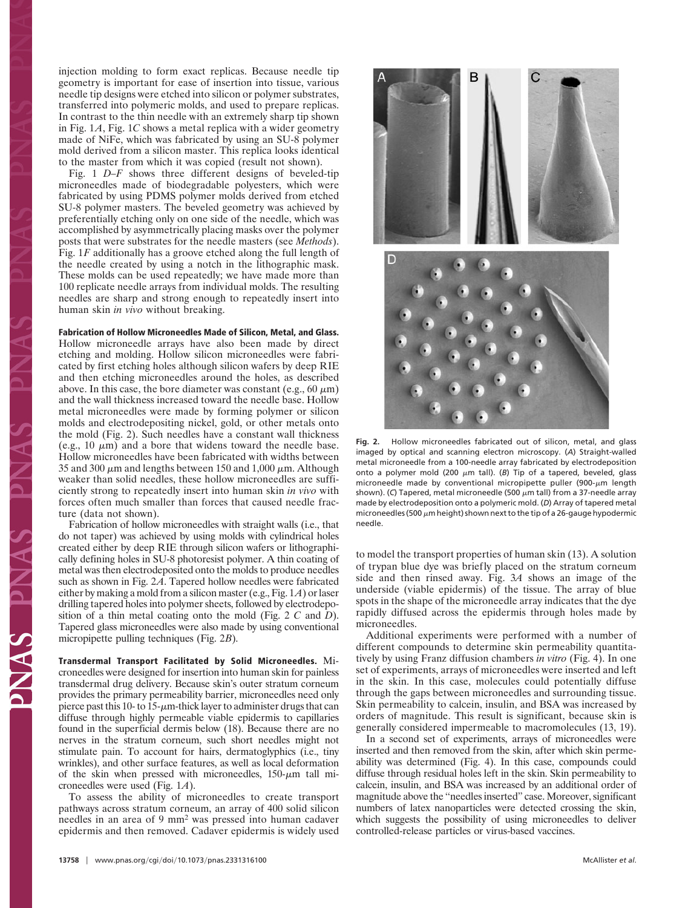injection molding to form exact replicas. Because needle tip geometry is important for ease of insertion into tissue, various needle tip designs were etched into silicon or polymer substrates, transferred into polymeric molds, and used to prepare replicas. In contrast to the thin needle with an extremely sharp tip shown in Fig. 1*A*, Fig. 1*C* shows a metal replica with a wider geometry made of NiFe, which was fabricated by using an SU-8 polymer mold derived from a silicon master. This replica looks identical to the master from which it was copied (result not shown).

Fig. 1 *D–F* shows three different designs of beveled-tip microneedles made of biodegradable polyesters, which were fabricated by using PDMS polymer molds derived from etched SU-8 polymer masters. The beveled geometry was achieved by preferentially etching only on one side of the needle, which was accomplished by asymmetrically placing masks over the polymer posts that were substrates for the needle masters (see *Methods*). Fig. 1*F* additionally has a groove etched along the full length of the needle created by using a notch in the lithographic mask. These molds can be used repeatedly; we have made more than 100 replicate needle arrays from individual molds. The resulting needles are sharp and strong enough to repeatedly insert into human skin *in vivo* without breaking.

#### **Fabrication of Hollow Microneedles Made of Silicon, Metal, and Glass.**

Hollow microneedle arrays have also been made by direct etching and molding. Hollow silicon microneedles were fabricated by first etching holes although silicon wafers by deep RIE and then etching microneedles around the holes, as described above. In this case, the bore diameter was constant (e.g., 60  $\mu$ m) and the wall thickness increased toward the needle base. Hollow metal microneedles were made by forming polymer or silicon molds and electrodepositing nickel, gold, or other metals onto the mold (Fig. 2). Such needles have a constant wall thickness (e.g., 10  $\mu$ m) and a bore that widens toward the needle base. Hollow microneedles have been fabricated with widths between 35 and 300  $\mu$ m and lengths between 150 and 1,000  $\mu$ m. Although weaker than solid needles, these hollow microneedles are sufficiently strong to repeatedly insert into human skin *in vivo* with forces often much smaller than forces that caused needle fracture (data not shown).

Fabrication of hollow microneedles with straight walls (i.e., that do not taper) was achieved by using molds with cylindrical holes created either by deep RIE through silicon wafers or lithographically defining holes in SU-8 photoresist polymer. A thin coating of metal was then electrodeposited onto the molds to produce needles such as shown in Fig. 2*A*. Tapered hollow needles were fabricated either by making a mold from a silicon master (e.g., Fig. 1*A*) or laser drilling tapered holes into polymer sheets, followed by electrodeposition of a thin metal coating onto the mold (Fig. 2 *C* and *D*). Tapered glass microneedles were also made by using conventional micropipette pulling techniques (Fig. 2*B*).

**Transdermal Transport Facilitated by Solid Microneedles.** Microneedles were designed for insertion into human skin for painless transdermal drug delivery. Because skin's outer stratum corneum provides the primary permeability barrier, microneedles need only pierce past this 10- to 15- $\mu$ m-thick layer to administer drugs that can diffuse through highly permeable viable epidermis to capillaries found in the superficial dermis below (18). Because there are no nerves in the stratum corneum, such short needles might not stimulate pain. To account for hairs, dermatoglyphics (i.e., tiny wrinkles), and other surface features, as well as local deformation of the skin when pressed with microneedles,  $150-\mu m$  tall microneedles were used (Fig. 1*A*).

To assess the ability of microneedles to create transport pathways across stratum corneum, an array of 400 solid silicon needles in an area of 9 mm<sup>2</sup> was pressed into human cadaver epidermis and then removed. Cadaver epidermis is widely used



**Fig. 2.** Hollow microneedles fabricated out of silicon, metal, and glass imaged by optical and scanning electron microscopy. (*A*) Straight-walled metal microneedle from a 100-needle array fabricated by electrodeposition onto a polymer mold (200  $\mu$ m tall). (*B*) Tip of a tapered, beveled, glass microneedle made by conventional micropipette puller (900- $\mu$ m length shown). (C) Tapered, metal microneedle (500  $\mu$ m tall) from a 37-needle array made by electrodeposition onto a polymeric mold. (*D*) Array of tapered metal microneedles (500  $\mu$ m height) shown next to the tip of a 26-gauge hypodermic needle.

to model the transport properties of human skin (13). A solution of trypan blue dye was briefly placed on the stratum corneum side and then rinsed away. Fig. 3*A* shows an image of the underside (viable epidermis) of the tissue. The array of blue spots in the shape of the microneedle array indicates that the dye rapidly diffused across the epidermis through holes made by microneedles.

Additional experiments were performed with a number of different compounds to determine skin permeability quantitatively by using Franz diffusion chambers *in vitro* (Fig. 4). In one set of experiments, arrays of microneedles were inserted and left in the skin. In this case, molecules could potentially diffuse through the gaps between microneedles and surrounding tissue. Skin permeability to calcein, insulin, and BSA was increased by orders of magnitude. This result is significant, because skin is generally considered impermeable to macromolecules (13, 19).

In a second set of experiments, arrays of microneedles were inserted and then removed from the skin, after which skin permeability was determined (Fig. 4). In this case, compounds could diffuse through residual holes left in the skin. Skin permeability to calcein, insulin, and BSA was increased by an additional order of magnitude above the ''needles inserted'' case. Moreover, significant numbers of latex nanoparticles were detected crossing the skin, which suggests the possibility of using microneedles to deliver controlled-release particles or virus-based vaccines.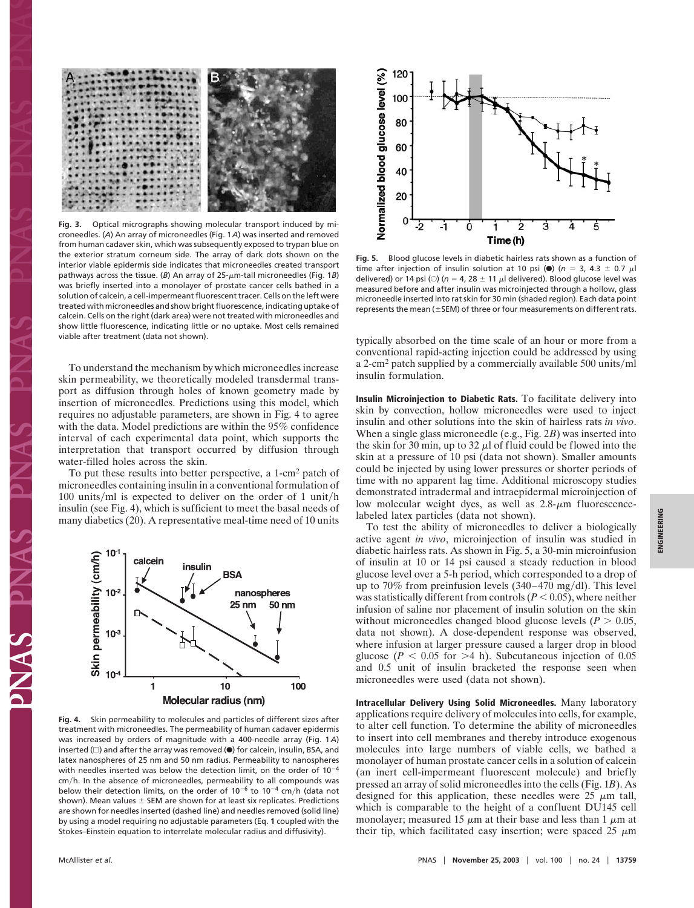

**Fig. 3.** Optical micrographs showing molecular transport induced by microneedles. (*A*) An array of microneedles (Fig. 1*A*) was inserted and removed from human cadaver skin, which was subsequently exposed to trypan blue on the exterior stratum corneum side. The array of dark dots shown on the interior viable epidermis side indicates that microneedles created transport pathways across the tissue. (B) An array of 25- $\mu$ m-tall microneedles (Fig. 1B) was briefly inserted into a monolayer of prostate cancer cells bathed in a solution of calcein, a cell-impermeant fluorescent tracer. Cells on the left were treated with microneedles and show bright fluorescence, indicating uptake of calcein. Cells on the right (dark area) were not treated with microneedles and show little fluorescence, indicating little or no uptake. Most cells remained viable after treatment (data not shown).

To understand the mechanism by which microneedles increase skin permeability, we theoretically modeled transdermal transport as diffusion through holes of known geometry made by insertion of microneedles. Predictions using this model, which requires no adjustable parameters, are shown in Fig. 4 to agree with the data. Model predictions are within the 95% confidence interval of each experimental data point, which supports the interpretation that transport occurred by diffusion through water-filled holes across the skin.

To put these results into better perspective, a 1-cm<sup>2</sup> patch of microneedles containing insulin in a conventional formulation of 100 units/ml is expected to deliver on the order of 1 unit/h insulin (see Fig. 4), which is sufficient to meet the basal needs of many diabetics (20). A representative meal-time need of 10 units



**Fig. 4.** Skin permeability to molecules and particles of different sizes after treatment with microneedles. The permeability of human cadaver epidermis was increased by orders of magnitude with a 400-needle array (Fig. 1*A*) inserted  $(\Box)$  and after the array was removed ( $\bullet$ ) for calcein, insulin, BSA, and latex nanospheres of 25 nm and 50 nm radius. Permeability to nanospheres with needles inserted was below the detection limit, on the order of  $10^{-4}$ cm-h. In the absence of microneedles, permeability to all compounds was below their detection limits, on the order of  $10^{-6}$  to  $10^{-4}$  cm/h (data not shown). Mean values  $\pm$  SEM are shown for at least six replicates. Predictions are shown for needles inserted (dashed line) and needles removed (solid line) by using a model requiring no adjustable parameters (Eq. **1** coupled with the Stokes–Einstein equation to interrelate molecular radius and diffusivity).



**Fig. 5.** Blood glucose levels in diabetic hairless rats shown as a function of time after injection of insulin solution at 10 psi ( $\bullet$ ) ( $n = 3$ , 4.3  $\pm$  0.7 *u*l delivered) or 14 psi ( $\circ$ ) ( $n = 4$ , 28  $\pm$  11  $\mu$ l delivered). Blood glucose level was measured before and after insulin was microinjected through a hollow, glass microneedle inserted into rat skin for 30 min (shaded region). Each data point represents the mean ( $\pm$ SEM) of three or four measurements on different rats.

typically absorbed on the time scale of an hour or more from a conventional rapid-acting injection could be addressed by using a 2-cm<sup>2</sup> patch supplied by a commercially available 500 units/ml insulin formulation.

**Insulin Microinjection to Diabetic Rats.** To facilitate delivery into skin by convection, hollow microneedles were used to inject insulin and other solutions into the skin of hairless rats *in vivo*. When a single glass microneedle (e.g., Fig. 2*B*) was inserted into the skin for 30 min, up to 32  $\mu$  of fluid could be flowed into the skin at a pressure of 10 psi (data not shown). Smaller amounts could be injected by using lower pressures or shorter periods of time with no apparent lag time. Additional microscopy studies demonstrated intradermal and intraepidermal microinjection of low molecular weight dyes, as well as  $2.8 - \mu m$  fluorescencelabeled latex particles (data not shown).

To test the ability of microneedles to deliver a biologically active agent *in vivo*, microinjection of insulin was studied in diabetic hairless rats. As shown in Fig. 5, a 30-min microinfusion of insulin at 10 or 14 psi caused a steady reduction in blood glucose level over a 5-h period, which corresponded to a drop of up to  $70\%$  from preinfusion levels  $(340-470 \text{ mg/dl})$ . This level was statistically different from controls  $(P < 0.05)$ , where neither infusion of saline nor placement of insulin solution on the skin without microneedles changed blood glucose levels ( $P > 0.05$ , data not shown). A dose-dependent response was observed, where infusion at larger pressure caused a larger drop in blood glucose ( $P < 0.05$  for  $>4$  h). Subcutaneous injection of 0.05 and 0.5 unit of insulin bracketed the response seen when microneedles were used (data not shown).

**Intracellular Delivery Using Solid Microneedles.** Many laboratory applications require delivery of molecules into cells, for example, to alter cell function. To determine the ability of microneedles to insert into cell membranes and thereby introduce exogenous molecules into large numbers of viable cells, we bathed a monolayer of human prostate cancer cells in a solution of calcein (an inert cell-impermeant fluorescent molecule) and briefly pressed an array of solid microneedles into the cells (Fig. 1*B*). As designed for this application, these needles were  $25 \mu m$  tall, which is comparable to the height of a confluent DU145 cell monolayer; measured 15  $\mu$ m at their base and less than 1  $\mu$ m at their tip, which facilitated easy insertion; were spaced 25  $\mu$ m